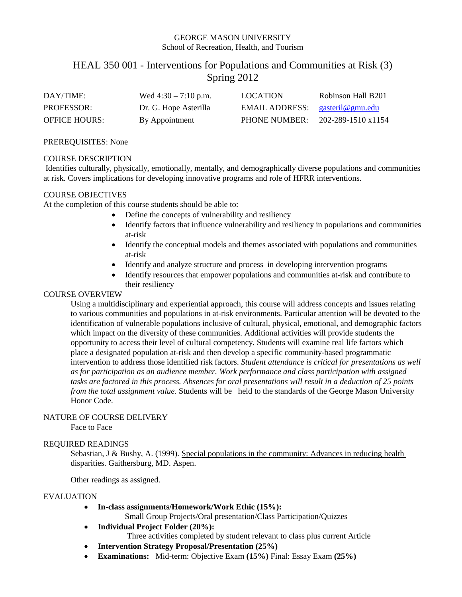# GEORGE MASON UNIVERSITY School of Recreation, Health, and Tourism

# HEAL 350 001 - Interventions for Populations and Communities at Risk (3) Spring 2012

| DAY/TIME:            | Wed $4:30 - 7:10$ p.m. | <b>LOCATION</b>                   | Robinson Hall B201 |
|----------------------|------------------------|-----------------------------------|--------------------|
| <b>PROFESSOR:</b>    | Dr. G. Hope Asterilla  | EMAIL ADDRESS: $gasteril@gmu.edu$ |                    |
| <b>OFFICE HOURS:</b> | By Appointment         | <b>PHONE NUMBER:</b>              | 202-289-1510 x1154 |

#### PREREQUISITES: None

#### COURSE DESCRIPTION

Identifies culturally, physically, emotionally, mentally, and demographically diverse populations and communities at risk. Covers implications for developing innovative programs and role of HFRR interventions.

# COURSE OBJECTIVES

At the completion of this course students should be able to:

- Define the concepts of vulnerability and resiliency
- Identify factors that influence vulnerability and resiliency in populations and communities at-risk
- Identify the conceptual models and themes associated with populations and communities at-risk
- Identify and analyze structure and process in developing intervention programs
- Identify resources that empower populations and communities at-risk and contribute to their resiliency

# COURSE OVERVIEW

Using a multidisciplinary and experiential approach, this course will address concepts and issues relating to various communities and populations in at-risk environments. Particular attention will be devoted to the identification of vulnerable populations inclusive of cultural, physical, emotional, and demographic factors which impact on the diversity of these communities. Additional activities will provide students the opportunity to access their level of cultural competency. Students will examine real life factors which place a designated population at-risk and then develop a specific community-based programmatic intervention to address those identified risk factors. *Student attendance is critical for presentations as well as for participation as an audience member. Work performance and class participation with assigned tasks are factored in this process. Absences for oral presentations will result in a deduction of 25 points from the total assignment value.* Students will be held to the standards of the George Mason University Honor Code.

# NATURE OF COURSE DELIVERY

Face to Face

# REQUIRED READINGS

Sebastian, J & Bushy, A. (1999). Special populations in the community: Advances in reducing health disparities. Gaithersburg, MD. Aspen.

Other readings as assigned.

#### EVALUATION

• **In-class assignments/Homework/Work Ethic (15%):**

Small Group Projects/Oral presentation/Class Participation/Quizzes

• **Individual Project Folder (20%):**

Three activities completed by student relevant to class plus current Article

- **Intervention Strategy Proposal/Presentation (25%)**
- **Examinations:** Mid-term: Objective Exam **(15%)** Final: Essay Exam **(25%)**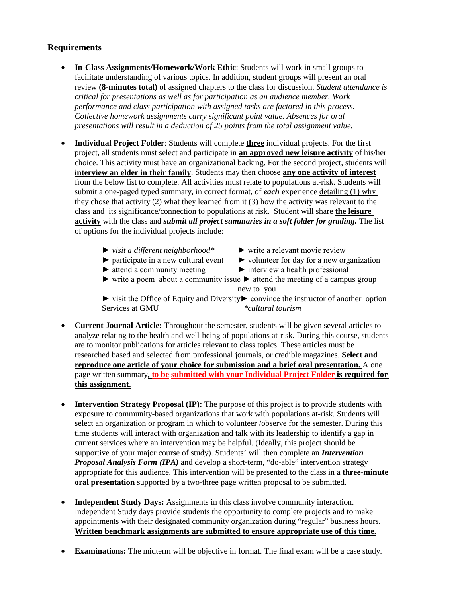# **Requirements**

- **In-Class Assignments/Homework/Work Ethic**: Students will work in small groups to facilitate understanding of various topics. In addition, student groups will present an oral review **(8-minutes total)** of assigned chapters to the class for discussion. *Student attendance is critical for presentations as well as for participation as an audience member. Work performance and class participation with assigned tasks are factored in this process. Collective homework assignments carry significant point value. Absences for oral presentations will result in a deduction of 25 points from the total assignment value.*
- **Individual Project Folder**: Students will complete **three** individual projects. For the first project, all students must select and participate in **an approved new leisure activity** of his/her choice. This activity must have an organizational backing. For the second project, students will **interview an elder in their family**. Students may then choose **any one activity of interest** from the below list to complete. All activities must relate to populations at-risk. Students will submit a one-paged typed summary, in correct format, of *each* experience detailing (1) why they chose that activity (2) what they learned from it (3) how the activity was relevant to the class and its significance/connection to populations at risk. Student will share **the leisure activity** with the class and *submit all project summaries in a soft folder for grading.* The list of options for the individual projects include:
	- ► *visit a different neighborhood\** ► write a relevant movie review
		-
	- ► participate in a new cultural event ► volunteer for day for a new organization
	-
	- ► attend a community meeting ► interview a health professional
	- $\triangleright$  write a poem about a community issue  $\triangleright$  attend the meeting of a campus group new to you

► visit the Office of Equity and Diversity► convince the instructor of another option Services at GMU *\*cultural tourism*

- **Current Journal Article:** Throughout the semester, students will be given several articles to analyze relating to the health and well-being of populations at-risk. During this course, students are to monitor publications for articles relevant to class topics. These articles must be researched based and selected from professional journals, or credible magazines. **Select and reproduce one article of your choice for submission and a brief oral presentation.** A one page written summary**, to be submitted with your Individual Project Folder is required for this assignment.**
- **Intervention Strategy Proposal (IP):** The purpose of this project is to provide students with exposure to community-based organizations that work with populations at-risk. Students will select an organization or program in which to volunteer /observe for the semester. During this time students will interact with organization and talk with its leadership to identify a gap in current services where an intervention may be helpful. (Ideally, this project should be supportive of your major course of study). Students' will then complete an *Intervention Proposal Analysis Form (IPA)* and develop a short-term, "do-able" intervention strategy appropriate for this audience. This intervention will be presented to the class in a **three-minute oral presentation** supported by a two-three page written proposal to be submitted.
- **Independent Study Days:** Assignments in this class involve community interaction. Independent Study days provide students the opportunity to complete projects and to make appointments with their designated community organization during "regular" business hours. **Written benchmark assignments are submitted to ensure appropriate use of this time.**
- **Examinations:** The midterm will be objective in format. The final exam will be a case study.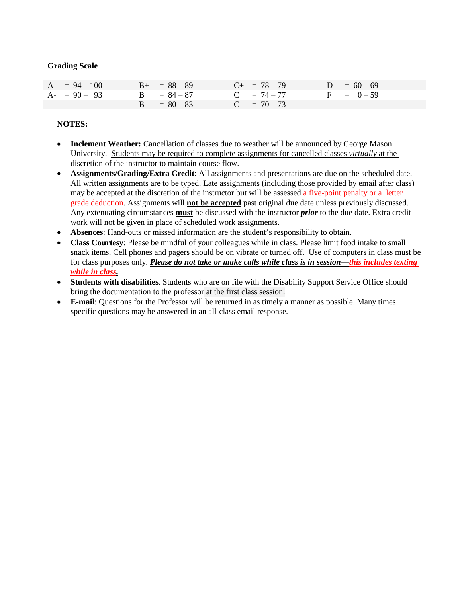#### **Grading Scale**

| $A = 94 - 100$ | $B_{+} = 88 - 89$ | $C_{+}$ = 78 – 79 | $D = 60 - 69$ |
|----------------|-------------------|-------------------|---------------|
| $A - 90 - 93$  | $B = 84 - 87$     | $C = 74 - 77$     | $F = 0 - 59$  |
|                | $B - = 80 - 83$   | $C_{-}$ = 70 – 73 |               |

# **NOTES:**

- **Inclement Weather:** Cancellation of classes due to weather will be announced by George Mason University. Students may be required to complete assignments for cancelled classes *virtually* at the discretion of the instructor to maintain course flow.
- **Assignments/Grading/Extra Credit**: All assignments and presentations are due on the scheduled date. All written assignments are to be typed. Late assignments (including those provided by email after class) may be accepted at the discretion of the instructor but will be assessed a five-point penalty or a letter grade deduction. Assignments will **not be accepted** past original due date unless previously discussed. Any extenuating circumstances **must** be discussed with the instructor *prior* to the due date. Extra credit work will not be given in place of scheduled work assignments.
- **Absences**: Hand-outs or missed information are the student's responsibility to obtain.
- **Class Courtesy**: Please be mindful of your colleagues while in class. Please limit food intake to small snack items. Cell phones and pagers should be on vibrate or turned off. Use of computers in class must be for class purposes only. *Please do not take or make calls while class is in session—this includes texting while in class.*
- **Students with disabilities**. Students who are on file with the Disability Support Service Office should bring the documentation to the professor at the first class session.
- **E-mail**: Questions for the Professor will be returned in as timely a manner as possible. Many times specific questions may be answered in an all-class email response.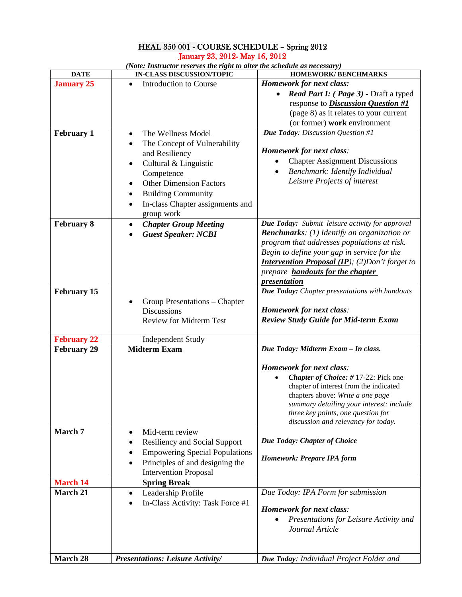# HEAL 350 001 - COURSE SCHEDULE – Spring 2012 January 23, 2012- May 16, 2012

| <b>DATE</b>        | <b>IN-CLASS DISCUSSION/TOPIC</b>              | <b>HOMEWORK/BENCHMARKS</b>                            |
|--------------------|-----------------------------------------------|-------------------------------------------------------|
| <b>January 25</b>  | <b>Introduction to Course</b>                 | <b>Homework for next class:</b>                       |
|                    |                                               | Read Part I: (Page 3) - Draft a typed                 |
|                    |                                               | response to <i>Discussion Question</i> #1             |
|                    |                                               | (page 8) as it relates to your current                |
|                    |                                               | (or former) work environment                          |
|                    |                                               |                                                       |
| <b>February 1</b>  | The Wellness Model<br>$\bullet$               | Due Today: Discussion Question #1                     |
|                    | The Concept of Vulnerability<br>٠             |                                                       |
|                    | and Resiliency                                | <b>Homework for next class:</b>                       |
|                    | Cultural & Linguistic<br>$\bullet$            | <b>Chapter Assignment Discussions</b>                 |
|                    | Competence                                    | Benchmark: Identify Individual                        |
|                    | <b>Other Dimension Factors</b><br>$\bullet$   | Leisure Projects of interest                          |
|                    | <b>Building Community</b>                     |                                                       |
|                    |                                               |                                                       |
|                    | In-class Chapter assignments and<br>$\bullet$ |                                                       |
|                    | group work                                    |                                                       |
| <b>February 8</b>  | <b>Chapter Group Meeting</b><br>٠             | Due Today: Submit leisure activity for approval       |
|                    | <b>Guest Speaker: NCBI</b>                    | <b>Benchmarks</b> : (1) Identify an organization or   |
|                    |                                               | program that addresses populations at risk.           |
|                    |                                               | Begin to define your gap in service for the           |
|                    |                                               | <b>Intervention Proposal (IP); (2)Don't forget to</b> |
|                    |                                               | prepare <b>handouts for the chapter</b>               |
|                    |                                               | presentation                                          |
| <b>February 15</b> |                                               | Due Today: Chapter presentations with handouts        |
|                    | Group Presentations – Chapter                 |                                                       |
|                    | <b>Discussions</b>                            | <b>Homework for next class:</b>                       |
|                    | <b>Review for Midterm Test</b>                | <b>Review Study Guide for Mid-term Exam</b>           |
|                    |                                               |                                                       |
| <b>February 22</b> | <b>Independent Study</b>                      |                                                       |
| <b>February 29</b> | <b>Midterm Exam</b>                           | Due Today: Midterm Exam - In class.                   |
|                    |                                               |                                                       |
|                    |                                               | <b>Homework for next class:</b>                       |
|                    |                                               | Chapter of Choice: #17-22: Pick one                   |
|                    |                                               | chapter of interest from the indicated                |
|                    |                                               | chapters above: Write a one page                      |
|                    |                                               | summary detailing your interest: include              |
|                    |                                               | three key points, one question for                    |
|                    |                                               | discussion and relevancy for today.                   |
| March 7            | Mid-term review<br>$\bullet$                  |                                                       |
|                    | <b>Resiliency and Social Support</b>          | <b>Due Today: Chapter of Choice</b>                   |
|                    | <b>Empowering Special Populations</b><br>٠    |                                                       |
|                    | Principles of and designing the               | <b>Homework: Prepare IPA form</b>                     |
|                    |                                               |                                                       |
|                    | <b>Intervention Proposal</b>                  |                                                       |
| <b>March 14</b>    | <b>Spring Break</b>                           |                                                       |
| March 21           | Leadership Profile<br>٠                       | Due Today: IPA Form for submission                    |
|                    | In-Class Activity: Task Force #1<br>٠         |                                                       |
|                    |                                               | <b>Homework for next class:</b>                       |
|                    |                                               | Presentations for Leisure Activity and                |
|                    |                                               | Journal Article                                       |
|                    |                                               |                                                       |
|                    |                                               |                                                       |
| March 28           | <b>Presentations: Leisure Activity/</b>       | Due Today: Individual Project Folder and              |

*(Note: Instructor reserves the right to alter the schedule as necessary)*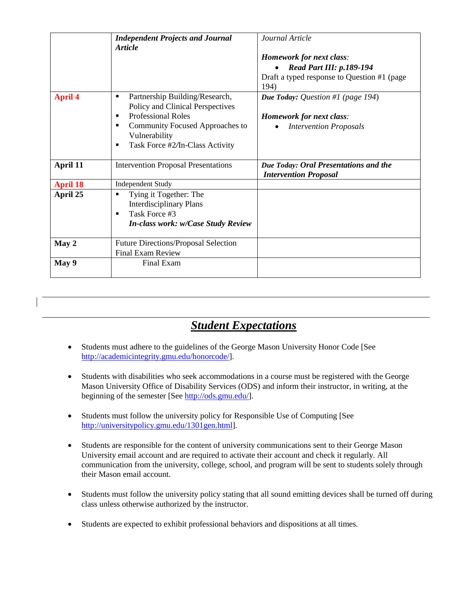|                 | <b>Independent Projects and Journal</b><br><b>Article</b>                                                                                                                                                  | Journal Article<br><b>Homework for next class:</b><br><b>Read Part III: p.189-194</b><br>Draft a typed response to Question #1 (page)<br>194) |
|-----------------|------------------------------------------------------------------------------------------------------------------------------------------------------------------------------------------------------------|-----------------------------------------------------------------------------------------------------------------------------------------------|
| <b>April 4</b>  | Partnership Building/Research,<br>٠<br>Policy and Clinical Perspectives<br><b>Professional Roles</b><br>٠<br>Community Focused Approaches to<br>٠<br>Vulnerability<br>Task Force #2/In-Class Activity<br>п | <b>Due Today:</b> Question #1 (page 194)<br><b>Homework for next class:</b><br><b>Intervention Proposals</b>                                  |
| April 11        | <b>Intervention Proposal Presentations</b>                                                                                                                                                                 | Due Today: Oral Presentations and the<br><b>Intervention Proposal</b>                                                                         |
| <b>April 18</b> | <b>Independent Study</b>                                                                                                                                                                                   |                                                                                                                                               |
| April 25        | Tying it Together: The<br>٠<br><b>Interdisciplinary Plans</b><br>Task Force #3<br>٠<br><b>In-class work: w/Case Study Review</b>                                                                           |                                                                                                                                               |
| May 2           | <b>Future Directions/Proposal Selection</b><br>Final Exam Review                                                                                                                                           |                                                                                                                                               |
| May 9           | Final Exam                                                                                                                                                                                                 |                                                                                                                                               |

# *Student Expectations*

- Students must adhere to the guidelines of the George Mason University Honor Code [See [http://academicintegrity.gmu.edu/honorcode/\]](http://academicintegrity.gmu.edu/honorcode/).
- Students with disabilities who seek accommodations in a course must be registered with the George Mason University Office of Disability Services (ODS) and inform their instructor, in writing, at the beginning of the semester [See [http://ods.gmu.edu/\]](http://ods.gmu.edu/).
- Students must follow the university policy for Responsible Use of Computing [See [http://universitypolicy.gmu.edu/1301gen.html\]](http://universitypolicy.gmu.edu/1301gen.html).
- Students are responsible for the content of university communications sent to their George Mason University email account and are required to activate their account and check it regularly. All communication from the university, college, school, and program will be sent to students solely through their Mason email account.
- Students must follow the university policy stating that all sound emitting devices shall be turned off during class unless otherwise authorized by the instructor.
- Students are expected to exhibit professional behaviors and dispositions at all times.